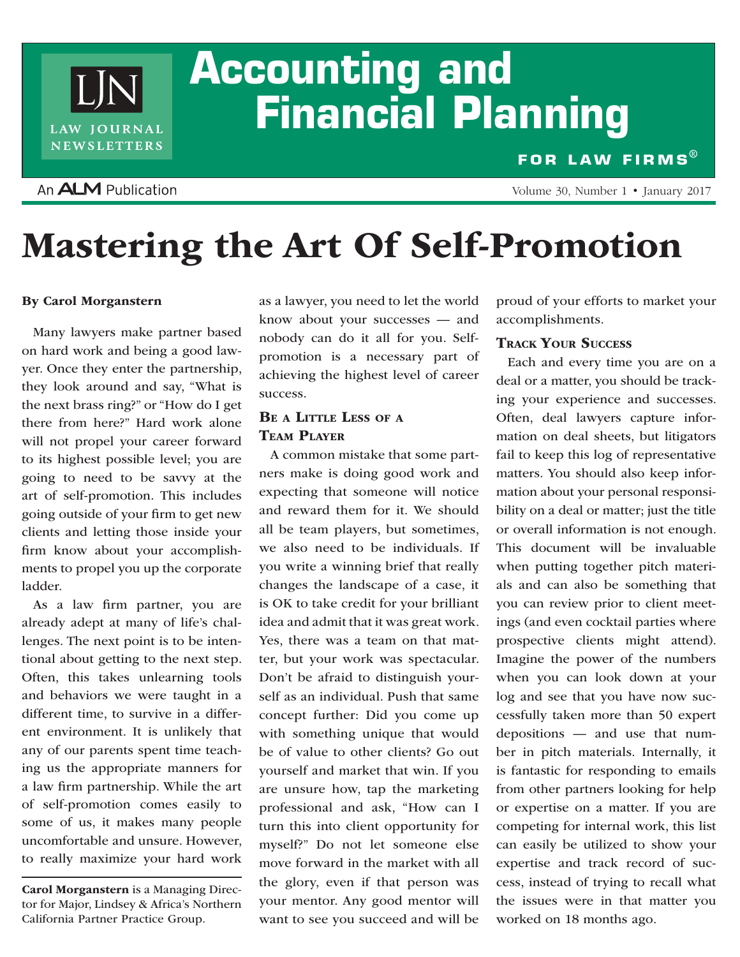# **Accounting and Financial Planning**

### An **ALM** Publication

LIN

LAW JOURNAL **NEWSLETTERS** 

**FOR LAW FIRMS®**

Volume 30, Number 1 • January 2017

## Mastering the Art Of Self-Promotion

#### By Carol Morganstern

Many lawyers make partner based on hard work and being a good lawyer. Once they enter the partnership, they look around and say, "What is the next brass ring?" or "How do I get there from here?" Hard work alone will not propel your career forward to its highest possible level; you are going to need to be savvy at the art of self-promotion. This includes going outside of your firm to get new clients and letting those inside your firm know about your accomplishments to propel you up the corporate ladder.

As a law firm partner, you are already adept at many of life's challenges. The next point is to be intentional about getting to the next step. Often, this takes unlearning tools and behaviors we were taught in a different time, to survive in a different environment. It is unlikely that any of our parents spent time teaching us the appropriate manners for a law firm partnership. While the art of self-promotion comes easily to some of us, it makes many people uncomfortable and unsure. However, to really maximize your hard work

Carol Morganstern is a Managing Director for Major, Lindsey & Africa's Northern California Partner Practice Group.

as a lawyer, you need to let the world know about your successes — and nobody can do it all for you. Selfpromotion is a necessary part of achieving the highest level of career success.

#### BE A LITTLE LESS OF A Team Player

A common mistake that some partners make is doing good work and expecting that someone will notice and reward them for it. We should all be team players, but sometimes, we also need to be individuals. If you write a winning brief that really changes the landscape of a case, it is OK to take credit for your brilliant idea and admit that it was great work. Yes, there was a team on that matter, but your work was spectacular. Don't be afraid to distinguish yourself as an individual. Push that same concept further: Did you come up with something unique that would be of value to other clients? Go out yourself and market that win. If you are unsure how, tap the marketing professional and ask, "How can I turn this into client opportunity for myself?" Do not let someone else move forward in the market with all the glory, even if that person was your mentor. Any good mentor will want to see you succeed and will be

proud of your efforts to market your accomplishments.

#### Track Your Success

Each and every time you are on a deal or a matter, you should be tracking your experience and successes. Often, deal lawyers capture information on deal sheets, but litigators fail to keep this log of representative matters. You should also keep information about your personal responsibility on a deal or matter; just the title or overall information is not enough. This document will be invaluable when putting together pitch materials and can also be something that you can review prior to client meetings (and even cocktail parties where prospective clients might attend). Imagine the power of the numbers when you can look down at your log and see that you have now successfully taken more than 50 expert depositions — and use that number in pitch materials. Internally, it is fantastic for responding to emails from other partners looking for help or expertise on a matter. If you are competing for internal work, this list can easily be utilized to show your expertise and track record of success, instead of trying to recall what the issues were in that matter you worked on 18 months ago.